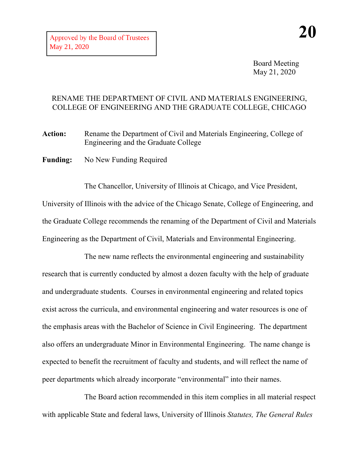Board Meeting May 21, 2020

## RENAME THE DEPARTMENT OF CIVIL AND MATERIALS ENGINEERING, COLLEGE OF ENGINEERING AND THE GRADUATE COLLEGE, CHICAGO

Action: Rename the Department of Civil and Materials Engineering, College of Engineering and the Graduate College

**Funding:** No New Funding Required

The Chancellor, University of Illinois at Chicago, and Vice President, University of Illinois with the advice of the Chicago Senate, College of Engineering, and the Graduate College recommends the renaming of the Department of Civil and Materials Engineering as the Department of Civil, Materials and Environmental Engineering.

The new name reflects the environmental engineering and sustainability research that is currently conducted by almost a dozen faculty with the help of graduate and undergraduate students. Courses in environmental engineering and related topics exist across the curricula, and environmental engineering and water resources is one of the emphasis areas with the Bachelor of Science in Civil Engineering. The department also offers an undergraduate Minor in Environmental Engineering. The name change is expected to benefit the recruitment of faculty and students, and will reflect the name of peer departments which already incorporate "environmental" into their names.

The Board action recommended in this item complies in all material respect with applicable State and federal laws, University of Illinois *Statutes, The General Rules*